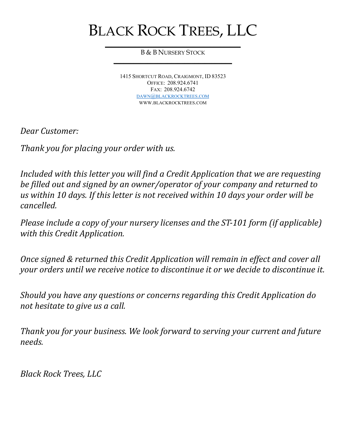# BLACK ROCK TREES, LLC

 $\overline{\phantom{a}}$  , and the set of the set of the set of the set of the set of the set of the set of the set of the set of the set of the set of the set of the set of the set of the set of the set of the set of the set of the s B & B NURSERY STOCK  $\overline{\phantom{a}}$  , and the contract of the contract of the contract of the contract of the contract of the contract of the contract of the contract of the contract of the contract of the contract of the contract of the contrac

> 1415 SHORTCUT ROAD, CRAIGMONT, ID 83523 OFFICE: 208.924.6741 FAX: 208.924.6742 DAWN@BLACKROCKTREES.COM WWW.BLACKROCKTREES.COM

Dear Customer:

Thank you for placing your order with us.

Included with this letter you will find a Credit Application that we are requesting be filled out and signed by an owner/operator of your company and returned to us within 10 days. If this letter is not received within 10 days your order will be cancelled.

Please include a copy of your nursery licenses and the ST-101 form (if applicable) with this Credit Application.

Once signed & returned this Credit Application will remain in effect and cover all your orders until we receive notice to discontinue it or we decide to discontinue it.

Should you have any questions or concerns regarding this Credit Application do not hesitate to give us a call.

Thank you for your business. We look forward to serving your current and future needs.

Black Rock Trees, LLC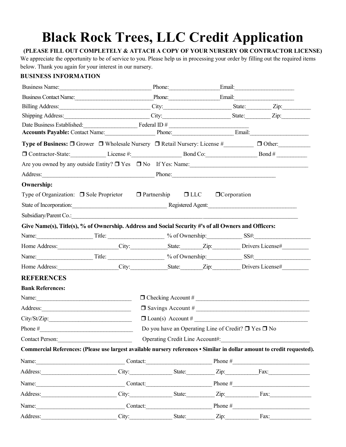## Black Rock Trees, LLC Credit Application

#### (PLEASE FILL OUT COMPLETELY & ATTACH A COPY OF YOUR NURSERY OR CONTRACTOR LICENSE)

We appreciate the opportunity to be of service to you. Please help us in processing your order by filling out the required items below. Thank you again for your interest in our nursery.

#### BUSINESS INFORMATION

| Business Name: Email: Email: Email:                                                                                                                                                                                            |                                                                                                |                                              |  |                                                                                                                                                                                                                              |               |
|--------------------------------------------------------------------------------------------------------------------------------------------------------------------------------------------------------------------------------|------------------------------------------------------------------------------------------------|----------------------------------------------|--|------------------------------------------------------------------------------------------------------------------------------------------------------------------------------------------------------------------------------|---------------|
| Business Contact Name: Phone: Phone: Email: Email:                                                                                                                                                                             |                                                                                                |                                              |  |                                                                                                                                                                                                                              |               |
| Billing Address: <u>City:</u> City: State: Zip: Zip:                                                                                                                                                                           |                                                                                                |                                              |  |                                                                                                                                                                                                                              |               |
| Shipping Address: ______________________________City: _________________________State: ___________Zip:                                                                                                                          |                                                                                                |                                              |  |                                                                                                                                                                                                                              |               |
| Date Business Established: Federal ID #                                                                                                                                                                                        |                                                                                                |                                              |  |                                                                                                                                                                                                                              |               |
| Accounts Payable: Contact Name: Phone: Phone: Email: Email:                                                                                                                                                                    |                                                                                                |                                              |  |                                                                                                                                                                                                                              |               |
| Type of Business: □ Grower □ Wholesale Nursery □ Retail Nursery: License #                                                                                                                                                     |                                                                                                |                                              |  |                                                                                                                                                                                                                              | $\Box$ Other: |
|                                                                                                                                                                                                                                |                                                                                                |                                              |  | □ Contractor-State: License #: License #: Bond Co: Bond # Bond # Bond # Bond # Bond # Bond # License # 2 Bond # License # 2 Bond # 2 Bond # 2 Bond # 2 Bond # 2 Bond # 2 Bond # 2 Bond # 2 Bond # 2 Bond # 2 Bond # 2 Bond # |               |
| Are you owned by any outside Entity? $\Box$ Yes $\Box$ No If Yes: Name:                                                                                                                                                        |                                                                                                |                                              |  |                                                                                                                                                                                                                              |               |
| Address: Phone: Phone: Phone: Phone: Phone: Phone: Phone: Phone: Phone: Phone: Phone: Phone: Phone: Phone: Phone: Phone: Phone: Phone: Phone: Phone: Phone: Phone: Phone: Phone: Phone: Phone: Phone: Phone: Phone: Phone: Pho |                                                                                                |                                              |  |                                                                                                                                                                                                                              |               |
| <b>Ownership:</b>                                                                                                                                                                                                              |                                                                                                |                                              |  |                                                                                                                                                                                                                              |               |
| Type of Organization: $\Box$ Sole Proprietor $\Box$ Partnership $\Box$ LLC $\Box$ Corporation                                                                                                                                  |                                                                                                |                                              |  |                                                                                                                                                                                                                              |               |
| State of Incorporation: Registered Agent: Registered Agent:                                                                                                                                                                    |                                                                                                |                                              |  |                                                                                                                                                                                                                              |               |
| Subsidiary/Parent Co.: 2008. 2009. 2009. 2010. 2010. 2010. 2010. 2010. 2010. 2010. 2010. 2010. 2010. 2010. 201                                                                                                                 |                                                                                                |                                              |  |                                                                                                                                                                                                                              |               |
| Give Name(s), Title(s), % of Ownership. Address and Social Security #'s of all Owners and Officers:                                                                                                                            |                                                                                                |                                              |  |                                                                                                                                                                                                                              |               |
|                                                                                                                                                                                                                                |                                                                                                |                                              |  |                                                                                                                                                                                                                              |               |
| Home Address: City: City: State: Zip: Drivers License#                                                                                                                                                                         |                                                                                                |                                              |  |                                                                                                                                                                                                                              |               |
|                                                                                                                                                                                                                                |                                                                                                |                                              |  |                                                                                                                                                                                                                              |               |
| Home Address: City: State: Zip: Drivers License#                                                                                                                                                                               |                                                                                                |                                              |  |                                                                                                                                                                                                                              |               |
| <b>REFERENCES</b>                                                                                                                                                                                                              |                                                                                                |                                              |  |                                                                                                                                                                                                                              |               |
| <b>Bank References:</b>                                                                                                                                                                                                        |                                                                                                |                                              |  |                                                                                                                                                                                                                              |               |
| $\Box$ Checking Account #                                                                                                                                                                                                      |                                                                                                |                                              |  |                                                                                                                                                                                                                              |               |
| $\Box$ Savings Account #                                                                                                                                                                                                       |                                                                                                |                                              |  |                                                                                                                                                                                                                              |               |
|                                                                                                                                                                                                                                |                                                                                                |                                              |  |                                                                                                                                                                                                                              |               |
|                                                                                                                                                                                                                                | Phone # $\qquad \qquad$<br>Do you have an Operating Line of Credit? $\Box$<br>Yes $\Box$<br>No |                                              |  |                                                                                                                                                                                                                              |               |
| <b>Contact Person:</b>                                                                                                                                                                                                         |                                                                                                | Operating Credit Line Account#:              |  |                                                                                                                                                                                                                              |               |
| Commercial References: (Please use largest available nursery references • Similar in dollar amount to credit requested).                                                                                                       |                                                                                                |                                              |  |                                                                                                                                                                                                                              |               |
| Name: Contact: Depression Contact: Phone #                                                                                                                                                                                     |                                                                                                |                                              |  |                                                                                                                                                                                                                              |               |
|                                                                                                                                                                                                                                |                                                                                                |                                              |  |                                                                                                                                                                                                                              |               |
| Name: <u>Name: Contact:</u> Contact: Phone #                                                                                                                                                                                   |                                                                                                |                                              |  |                                                                                                                                                                                                                              |               |
| Address: City: State: Zip: Fax:                                                                                                                                                                                                |                                                                                                |                                              |  |                                                                                                                                                                                                                              |               |
|                                                                                                                                                                                                                                |                                                                                                | Name: <u>Name: Contact:</u> Contact: Phone # |  |                                                                                                                                                                                                                              |               |
| Address:                                                                                                                                                                                                                       |                                                                                                | City: State: Zip: Fax:                       |  |                                                                                                                                                                                                                              |               |